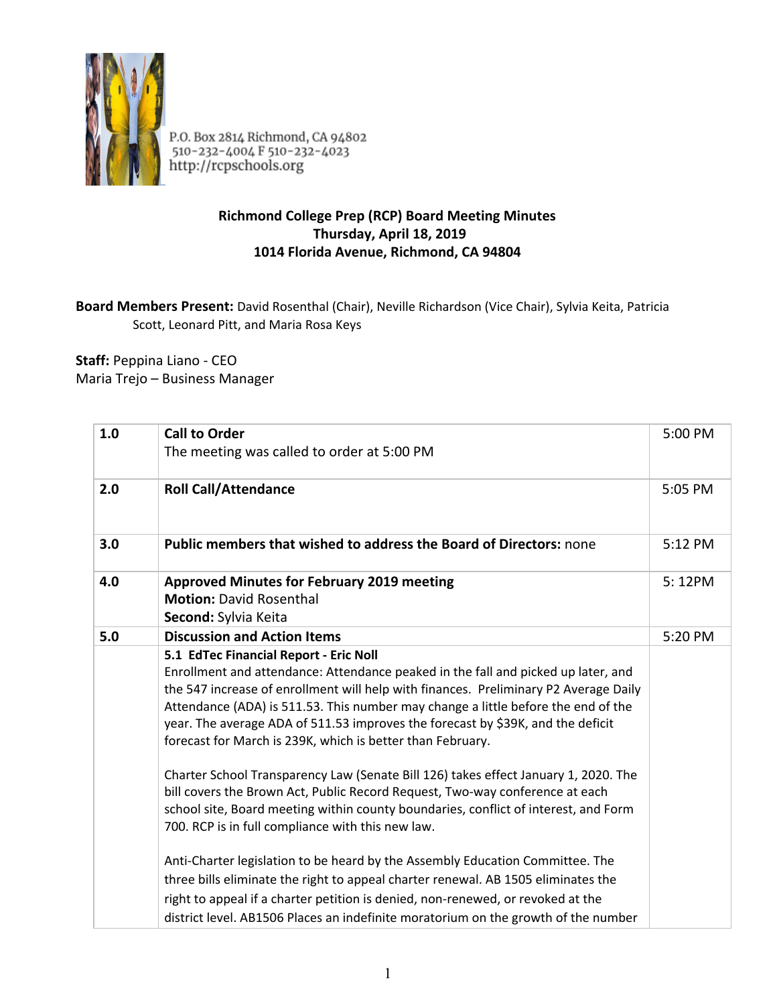

P.O. Box 2814 Richmond, CA 94802<br>510-232-4004 F 510-232-4023<br>http://rcpschools.org

## **Richmond College Prep (RCP) Board Meeting Minutes Thursday, April 18, 2019 1014 Florida Avenue, Richmond, CA 94804**

## **Board Members Present:** David Rosenthal (Chair), Neville Richardson (Vice Chair), Sylvia Keita, Patricia Scott, Leonard Pitt, and Maria Rosa Keys

**Staff:** Peppina Liano - CEO Maria Trejo – Business Manager

| 1.0 | <b>Call to Order</b><br>The meeting was called to order at 5:00 PM                                                                                                                                                                                                                                                                                                                                                                                        | 5:00 PM |
|-----|-----------------------------------------------------------------------------------------------------------------------------------------------------------------------------------------------------------------------------------------------------------------------------------------------------------------------------------------------------------------------------------------------------------------------------------------------------------|---------|
| 2.0 | <b>Roll Call/Attendance</b>                                                                                                                                                                                                                                                                                                                                                                                                                               | 5:05 PM |
| 3.0 | Public members that wished to address the Board of Directors: none                                                                                                                                                                                                                                                                                                                                                                                        | 5:12 PM |
| 4.0 | <b>Approved Minutes for February 2019 meeting</b><br><b>Motion: David Rosenthal</b><br>Second: Sylvia Keita                                                                                                                                                                                                                                                                                                                                               | 5:12PM  |
| 5.0 | <b>Discussion and Action Items</b>                                                                                                                                                                                                                                                                                                                                                                                                                        | 5:20 PM |
|     | 5.1 EdTec Financial Report - Eric Noll<br>Enrollment and attendance: Attendance peaked in the fall and picked up later, and<br>the 547 increase of enrollment will help with finances. Preliminary P2 Average Daily<br>Attendance (ADA) is 511.53. This number may change a little before the end of the<br>year. The average ADA of 511.53 improves the forecast by \$39K, and the deficit<br>forecast for March is 239K, which is better than February. |         |
|     | Charter School Transparency Law (Senate Bill 126) takes effect January 1, 2020. The<br>bill covers the Brown Act, Public Record Request, Two-way conference at each<br>school site, Board meeting within county boundaries, conflict of interest, and Form<br>700. RCP is in full compliance with this new law.                                                                                                                                           |         |
|     | Anti-Charter legislation to be heard by the Assembly Education Committee. The<br>three bills eliminate the right to appeal charter renewal. AB 1505 eliminates the<br>right to appeal if a charter petition is denied, non-renewed, or revoked at the<br>district level. AB1506 Places an indefinite moratorium on the growth of the number                                                                                                               |         |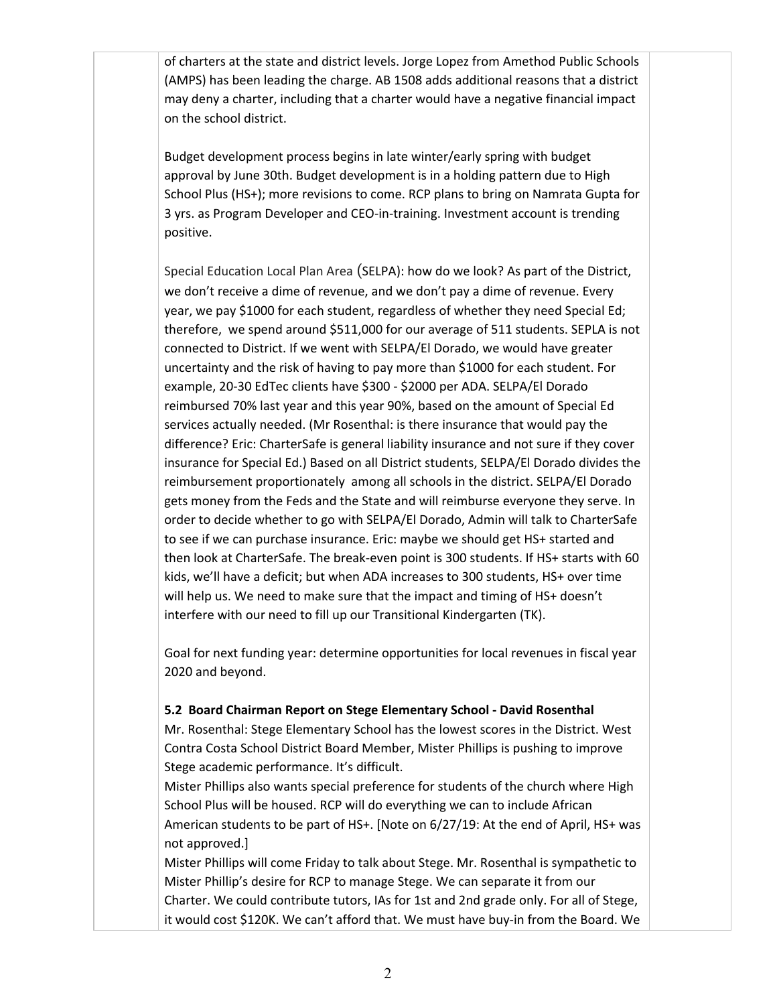of charters at the state and district levels. Jorge Lopez from Amethod Public Schools (AMPS) has been leading the charge. AB 1508 adds additional reasons that a district may deny a charter, including that a charter would have a negative financial impact on the school district.

Budget development process begins in late winter/early spring with budget approval by June 30th. Budget development is in a holding pattern due to High School Plus (HS+); more revisions to come. RCP plans to bring on Namrata Gupta for 3 yrs. as Program Developer and CEO-in-training. Investment account is trending positive.

Special Education Local Plan Area (SELPA): how do we look? As part of the District, we don't receive a dime of revenue, and we don't pay a dime of revenue. Every year, we pay \$1000 for each student, regardless of whether they need Special Ed; therefore, we spend around \$511,000 for our average of 511 students. SEPLA is not connected to District. If we went with SELPA/El Dorado, we would have greater uncertainty and the risk of having to pay more than \$1000 for each student. For example, 20-30 EdTec clients have \$300 - \$2000 per ADA. SELPA/El Dorado reimbursed 70% last year and this year 90%, based on the amount of Special Ed services actually needed. (Mr Rosenthal: is there insurance that would pay the difference? Eric: CharterSafe is general liability insurance and not sure if they cover insurance for Special Ed.) Based on all District students, SELPA/El Dorado divides the reimbursement proportionately among all schools in the district. SELPA/El Dorado gets money from the Feds and the State and will reimburse everyone they serve. In order to decide whether to go with SELPA/El Dorado, Admin will talk to CharterSafe to see if we can purchase insurance. Eric: maybe we should get HS+ started and then look at CharterSafe. The break-even point is 300 students. If HS+ starts with 60 kids, we'll have a deficit; but when ADA increases to 300 students, HS+ over time will help us. We need to make sure that the impact and timing of HS+ doesn't interfere with our need to fill up our Transitional Kindergarten (TK).

Goal for next funding year: determine opportunities for local revenues in fiscal year 2020 and beyond.

## **5.2 Board Chairman Report on Stege Elementary School - David Rosenthal**

Mr. Rosenthal: Stege Elementary School has the lowest scores in the District. West Contra Costa School District Board Member, Mister Phillips is pushing to improve Stege academic performance. It's difficult.

Mister Phillips also wants special preference for students of the church where High School Plus will be housed. RCP will do everything we can to include African American students to be part of HS+. [Note on 6/27/19: At the end of April, HS+ was not approved.]

Mister Phillips will come Friday to talk about Stege. Mr. Rosenthal is sympathetic to Mister Phillip's desire for RCP to manage Stege. We can separate it from our Charter. We could contribute tutors, IAs for 1st and 2nd grade only. For all of Stege, it would cost \$120K. We can't afford that. We must have buy-in from the Board. We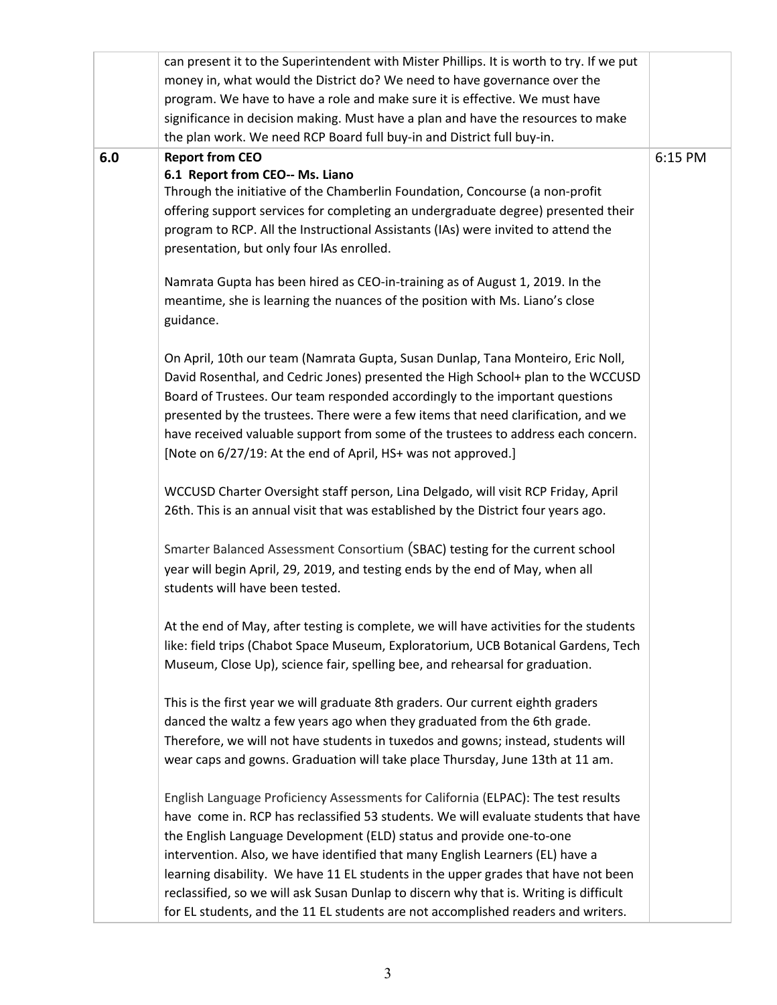|     | can present it to the Superintendent with Mister Phillips. It is worth to try. If we put |         |
|-----|------------------------------------------------------------------------------------------|---------|
|     | money in, what would the District do? We need to have governance over the                |         |
|     | program. We have to have a role and make sure it is effective. We must have              |         |
|     | significance in decision making. Must have a plan and have the resources to make         |         |
|     | the plan work. We need RCP Board full buy-in and District full buy-in.                   |         |
| 6.0 | <b>Report from CEO</b>                                                                   | 6:15 PM |
|     | 6.1 Report from CEO-- Ms. Liano                                                          |         |
|     | Through the initiative of the Chamberlin Foundation, Concourse (a non-profit             |         |
|     | offering support services for completing an undergraduate degree) presented their        |         |
|     | program to RCP. All the Instructional Assistants (IAs) were invited to attend the        |         |
|     | presentation, but only four IAs enrolled.                                                |         |
|     |                                                                                          |         |
|     | Namrata Gupta has been hired as CEO-in-training as of August 1, 2019. In the             |         |
|     | meantime, she is learning the nuances of the position with Ms. Liano's close             |         |
|     | guidance.                                                                                |         |
|     |                                                                                          |         |
|     | On April, 10th our team (Namrata Gupta, Susan Dunlap, Tana Monteiro, Eric Noll,          |         |
|     | David Rosenthal, and Cedric Jones) presented the High School+ plan to the WCCUSD         |         |
|     | Board of Trustees. Our team responded accordingly to the important questions             |         |
|     | presented by the trustees. There were a few items that need clarification, and we        |         |
|     | have received valuable support from some of the trustees to address each concern.        |         |
|     | [Note on 6/27/19: At the end of April, HS+ was not approved.]                            |         |
|     |                                                                                          |         |
|     | WCCUSD Charter Oversight staff person, Lina Delgado, will visit RCP Friday, April        |         |
|     | 26th. This is an annual visit that was established by the District four years ago.       |         |
|     |                                                                                          |         |
|     | Smarter Balanced Assessment Consortium (SBAC) testing for the current school             |         |
|     | year will begin April, 29, 2019, and testing ends by the end of May, when all            |         |
|     | students will have been tested.                                                          |         |
|     |                                                                                          |         |
|     | At the end of May, after testing is complete, we will have activities for the students   |         |
|     | like: field trips (Chabot Space Museum, Exploratorium, UCB Botanical Gardens, Tech       |         |
|     | Museum, Close Up), science fair, spelling bee, and rehearsal for graduation.             |         |
|     |                                                                                          |         |
|     | This is the first year we will graduate 8th graders. Our current eighth graders          |         |
|     | danced the waltz a few years ago when they graduated from the 6th grade.                 |         |
|     | Therefore, we will not have students in tuxedos and gowns; instead, students will        |         |
|     | wear caps and gowns. Graduation will take place Thursday, June 13th at 11 am.            |         |
|     |                                                                                          |         |
|     | English Language Proficiency Assessments for California (ELPAC): The test results        |         |
|     | have come in. RCP has reclassified 53 students. We will evaluate students that have      |         |
|     | the English Language Development (ELD) status and provide one-to-one                     |         |
|     | intervention. Also, we have identified that many English Learners (EL) have a            |         |
|     | learning disability. We have 11 EL students in the upper grades that have not been       |         |
|     | reclassified, so we will ask Susan Dunlap to discern why that is. Writing is difficult   |         |
|     | for EL students, and the 11 EL students are not accomplished readers and writers.        |         |
|     |                                                                                          |         |